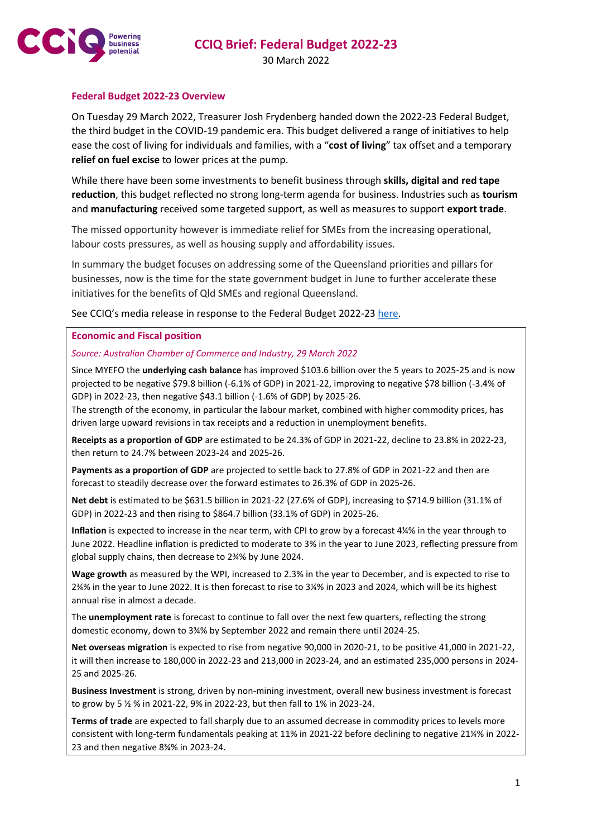

30 March 2022

## **Federal Budget 2022-23 Overview**

On Tuesday 29 March 2022, Treasurer Josh Frydenberg handed down the 2022-23 Federal Budget, the third budget in the COVID-19 pandemic era. This budget delivered a range of initiatives to help ease the cost of living for individuals and families, with a "**cost of living**" tax offset and a temporary **relief on fuel excise** to lower prices at the pump.

While there have been some investments to benefit business through **skills, digital and red tape reduction**, this budget reflected no strong long-term agenda for business. Industries such as **tourism** and **manufacturing** received some targeted support, as well as measures to support **export trade**.

The missed opportunity however is immediate relief for SMEs from the increasing operational, labour costs pressures, as well as housing supply and affordability issues.

In summary the budget focuses on addressing some of the Queensland priorities and pillars for businesses, now is the time for the state government budget in June to further accelerate these initiatives for the benefits of Qld SMEs and regional Queensland.

See CCIQ's media release in response to the Federal Budget 2022-23 [here.](https://www.cciq.com.au/news/)

#### **Economic and Fiscal position**

#### *Source: Australian Chamber of Commerce and Industry, 29 March 2022*

Since MYEFO the **underlying cash balance** has improved \$103.6 billion over the 5 years to 2025-25 and is now projected to be negative \$79.8 billion (-6.1% of GDP) in 2021-22, improving to negative \$78 billion (-3.4% of GDP) in 2022-23, then negative \$43.1 billion (-1.6% of GDP) by 2025-26.

The strength of the economy, in particular the labour market, combined with higher commodity prices, has driven large upward revisions in tax receipts and a reduction in unemployment benefits.

**Receipts as a proportion of GDP** are estimated to be 24.3% of GDP in 2021-22, decline to 23.8% in 2022-23, then return to 24.7% between 2023-24 and 2025-26.

**Payments as a proportion of GDP** are projected to settle back to 27.8% of GDP in 2021-22 and then are forecast to steadily decrease over the forward estimates to 26.3% of GDP in 2025-26.

**Net debt** is estimated to be \$631.5 billion in 2021-22 (27.6% of GDP), increasing to \$714.9 billion (31.1% of GDP) in 2022-23 and then rising to \$864.7 billion (33.1% of GDP) in 2025-26.

**Inflation** is expected to increase in the near term, with CPI to grow by a forecast 4¼% in the year through to June 2022. Headline inflation is predicted to moderate to 3% in the year to June 2023, reflecting pressure from global supply chains, then decrease to 2¾% by June 2024.

**Wage growth** as measured by the WPI, increased to 2.3% in the year to December, and is expected to rise to 2¾% in the year to June 2022. It is then forecast to rise to 3¼% in 2023 and 2024, which will be its highest annual rise in almost a decade.

The **unemployment rate** is forecast to continue to fall over the next few quarters, reflecting the strong domestic economy, down to 3¾% by September 2022 and remain there until 2024-25.

**Net overseas migration** is expected to rise from negative 90,000 in 2020-21, to be positive 41,000 in 2021-22, it will then increase to 180,000 in 2022-23 and 213,000 in 2023-24, and an estimated 235,000 persons in 2024- 25 and 2025-26.

**Business Investment** is strong, driven by non-mining investment, overall new business investment is forecast to grow by 5 ½ % in 2021-22, 9% in 2022-23, but then fall to 1% in 2023-24.

**Terms of trade** are expected to fall sharply due to an assumed decrease in commodity prices to levels more consistent with long-term fundamentals peaking at 11% in 2021-22 before declining to negative 21¼% in 2022- 23 and then negative 8¾% in 2023-24.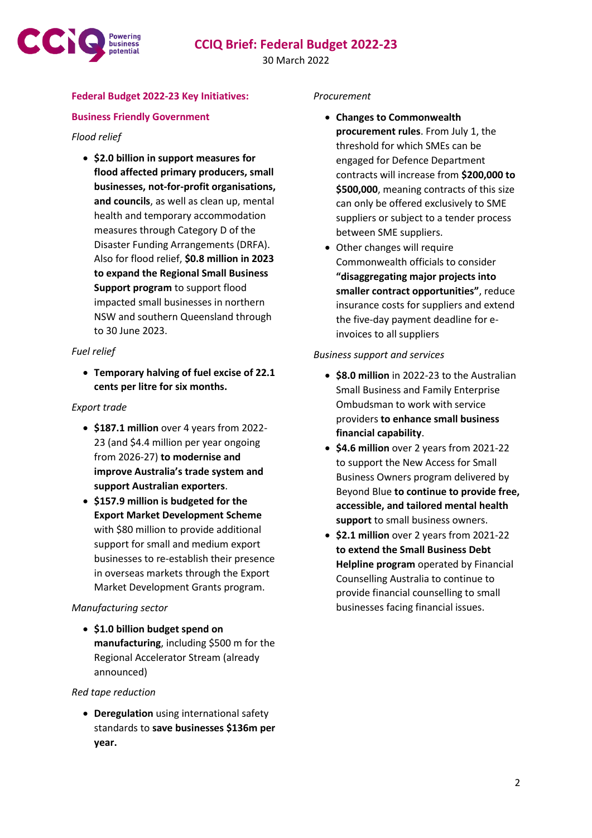

30 March 2022

# **Federal Budget 2022-23 Key Initiatives:**

## **Business Friendly Government**

### *Flood relief*

• **\$2.0 billion in support measures for flood affected primary producers, small businesses, not-for-profit organisations, and councils**, as well as clean up, mental health and temporary accommodation measures through Category D of the Disaster Funding Arrangements (DRFA). Also for flood relief, **\$0.8 million in 2023 to expand the Regional Small Business Support program** to support flood impacted small businesses in northern NSW and southern Queensland through to 30 June 2023.

### *Fuel relief*

• **Temporary halving of fuel excise of 22.1 cents per litre for six months.**

#### *Export trade*

- **\$187.1 million** over 4 years from 2022- 23 (and \$4.4 million per year ongoing from 2026-27) **to modernise and improve Australia's trade system and support Australian exporters**.
- **\$157.9 million is budgeted for the Export Market Development Scheme** with \$80 million to provide additional support for small and medium export businesses to re-establish their presence in overseas markets through the Export Market Development Grants program.

### *Manufacturing sector*

• **\$1.0 billion budget spend on manufacturing**, including \$500 m for the Regional Accelerator Stream (already announced)

#### *Red tape reduction*

• **Deregulation** using international safety standards to **save businesses \$136m per year.**

#### *Procurement*

- **Changes to Commonwealth procurement rules**. From July 1, the threshold for which SMEs can be engaged for Defence Department contracts will increase from **\$200,000 to \$500,000**, meaning contracts of this size can only be offered exclusively to SME suppliers or subject to a tender process between SME suppliers.
- Other changes will require Commonwealth officials to consider **"disaggregating major projects into smaller contract opportunities"**, reduce insurance costs for suppliers and extend the five-day payment deadline for einvoices to all suppliers

#### *Business support and services*

- **\$8.0 million** in 2022-23 to the Australian Small Business and Family Enterprise Ombudsman to work with service providers **to enhance small business financial capability**.
- **\$4.6 million** over 2 years from 2021-22 to support the New Access for Small Business Owners program delivered by Beyond Blue **to continue to provide free, accessible, and tailored mental health support** to small business owners.
- **\$2.1 million** over 2 years from 2021-22 **to extend the Small Business Debt Helpline program** operated by Financial Counselling Australia to continue to provide financial counselling to small businesses facing financial issues.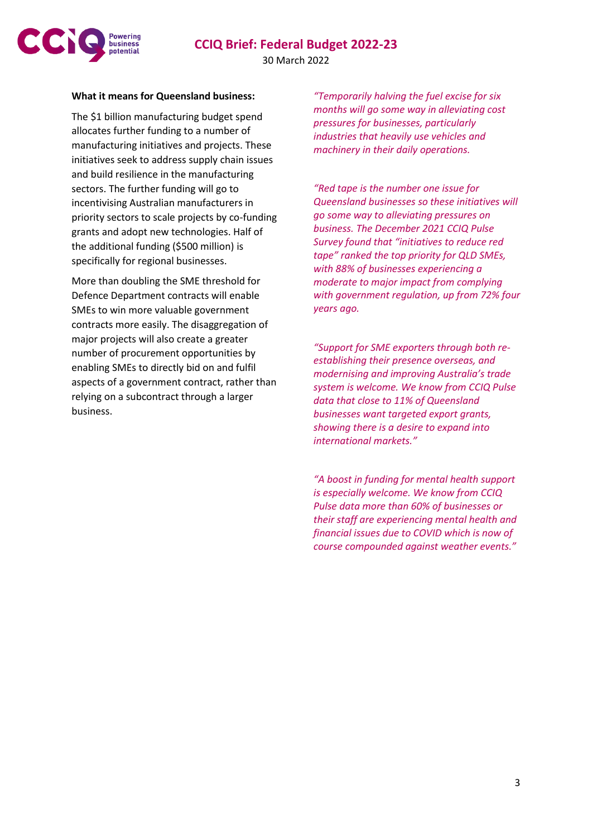

### **What it means for Queensland business:**

The \$1 billion manufacturing budget spend allocates further funding to a number of manufacturing initiatives and projects. These initiatives seek to address supply chain issues and build resilience in the manufacturing sectors. The further funding will go to incentivising Australian manufacturers in priority sectors to scale projects by co-funding grants and adopt new technologies. Half of the additional funding (\$500 million) is specifically for regional businesses.

More than doubling the SME threshold for Defence Department contracts will enable SMEs to win more valuable government contracts more easily. The disaggregation of major projects will also create a greater number of procurement opportunities by enabling SMEs to directly bid on and fulfil aspects of a government contract, rather than relying on a subcontract through a larger business.

*"Temporarily halving the fuel excise for six months will go some way in alleviating cost pressures for businesses, particularly industries that heavily use vehicles and machinery in their daily operations.* 

*"Red tape is the number one issue for Queensland businesses so these initiatives will go some way to alleviating pressures on business. The December 2021 CCIQ Pulse Survey found that "initiatives to reduce red tape" ranked the top priority for QLD SMEs, with 88% of businesses experiencing a moderate to major impact from complying with government regulation, up from 72% four years ago.*

*"Support for SME exporters through both reestablishing their presence overseas, and modernising and improving Australia's trade system is welcome. We know from CCIQ Pulse data that close to 11% of Queensland businesses want targeted export grants, showing there is a desire to expand into international markets."*

*"A boost in funding for mental health support is especially welcome. We know from CCIQ Pulse data more than 60% of businesses or their staff are experiencing mental health and financial issues due to COVID which is now of course compounded against weather events."*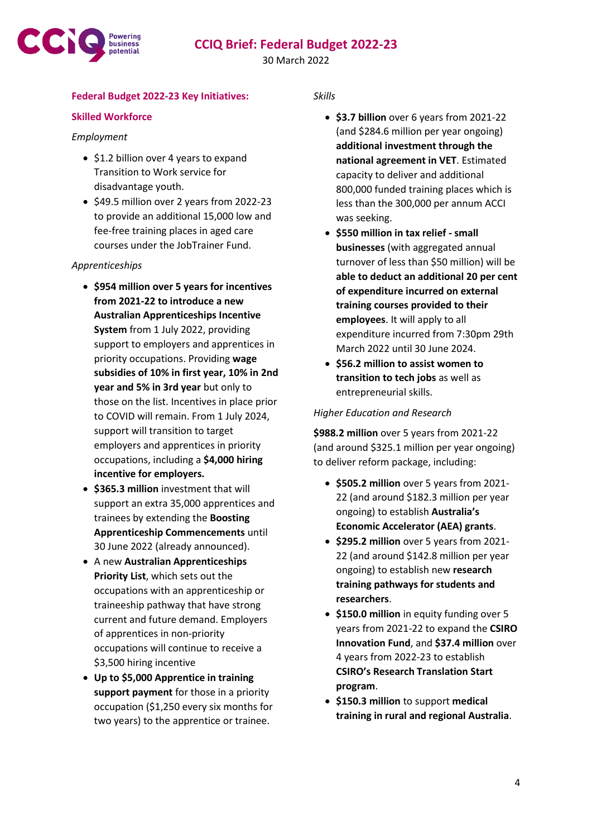

30 March 2022

# **Federal Budget 2022-23 Key Initiatives:**

# **Skilled Workforce**

## *Employment*

- \$1.2 billion over 4 years to expand Transition to Work service for disadvantage youth.
- \$49.5 million over 2 years from 2022-23 to provide an additional 15,000 low and fee-free training places in aged care courses under the JobTrainer Fund.

## *Apprenticeships*

- **\$954 million over 5 years for incentives from 2021-22 to introduce a new Australian Apprenticeships Incentive System** from 1 July 2022, providing support to employers and apprentices in priority occupations. Providing **wage subsidies of 10% in first year, 10% in 2nd year and 5% in 3rd year** but only to those on the list. Incentives in place prior to COVID will remain. From 1 July 2024, support will transition to target employers and apprentices in priority occupations, including a **\$4,000 hiring incentive for employers.**
- **\$365.3 million** investment that will support an extra 35,000 apprentices and trainees by extending the **Boosting Apprenticeship Commencements** until 30 June 2022 (already announced).
- A new **Australian Apprenticeships Priority List**, which sets out the occupations with an apprenticeship or traineeship pathway that have strong current and future demand. Employers of apprentices in non-priority occupations will continue to receive a \$3,500 hiring incentive
- **Up to \$5,000 Apprentice in training support payment** for those in a priority occupation (\$1,250 every six months for two years) to the apprentice or trainee.

*Skills*

- **\$3.7 billion** over 6 years from 2021-22 (and \$284.6 million per year ongoing) **additional investment through the national agreement in VET**. Estimated capacity to deliver and additional 800,000 funded training places which is less than the 300,000 per annum ACCI was seeking.
- **\$550 million in tax relief - small businesses** (with aggregated annual turnover of less than \$50 million) will be **able to deduct an additional 20 per cent of expenditure incurred on external training courses provided to their employees**. It will apply to all expenditure incurred from 7:30pm 29th March 2022 until 30 June 2024.
- **\$56.2 million to assist women to transition to tech jobs** as well as entrepreneurial skills.

# *Higher Education and Research*

**\$988.2 million** over 5 years from 2021-22 (and around \$325.1 million per year ongoing) to deliver reform package, including:

- **\$505.2 million** over 5 years from 2021- 22 (and around \$182.3 million per year ongoing) to establish **Australia's Economic Accelerator (AEA) grants**.
- **\$295.2 million** over 5 years from 2021- 22 (and around \$142.8 million per year ongoing) to establish new **research training pathways for students and researchers**.
- **\$150.0 million** in equity funding over 5 years from 2021-22 to expand the **CSIRO Innovation Fund**, and **\$37.4 million** over 4 years from 2022-23 to establish **CSIRO's Research Translation Start program**.
- **\$150.3 million** to support **medical training in rural and regional Australia**.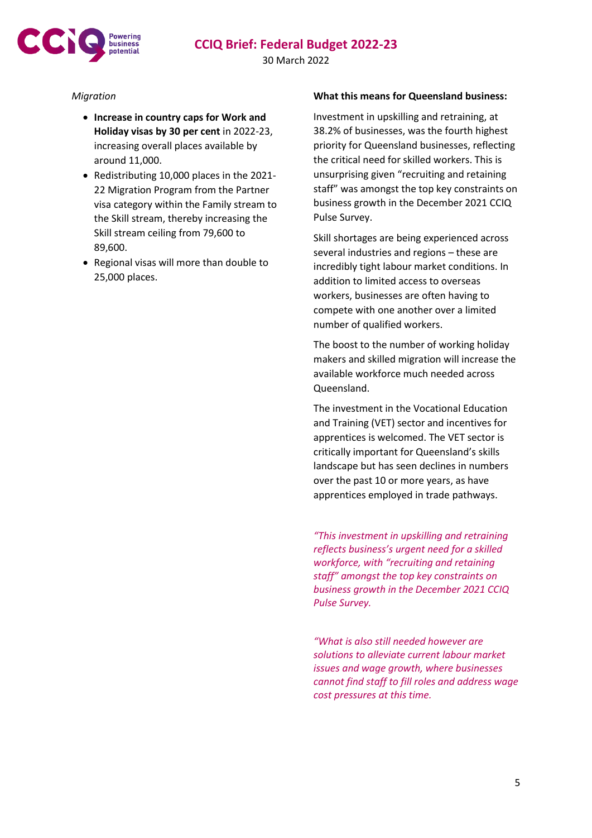



30 March 2022

# *Migration*

- **Increase in country caps for Work and Holiday visas by 30 per cent** in 2022-23, increasing overall places available by around 11,000.
- Redistributing 10,000 places in the 2021- 22 Migration Program from the Partner visa category within the Family stream to the Skill stream, thereby increasing the Skill stream ceiling from 79,600 to 89,600.
- Regional visas will more than double to 25,000 places.

# **What this means for Queensland business:**

Investment in upskilling and retraining, at 38.2% of businesses, was the fourth highest priority for Queensland businesses, reflecting the critical need for skilled workers. This is unsurprising given "recruiting and retaining staff" was amongst the top key constraints on business growth in the December 2021 CCIQ Pulse Survey.

Skill shortages are being experienced across several industries and regions – these are incredibly tight labour market conditions. In addition to limited access to overseas workers, businesses are often having to compete with one another over a limited number of qualified workers.

The boost to the number of working holiday makers and skilled migration will increase the available workforce much needed across Queensland.

The investment in the Vocational Education and Training (VET) sector and incentives for apprentices is welcomed. The VET sector is critically important for Queensland's skills landscape but has seen declines in numbers over the past 10 or more years, as have apprentices employed in trade pathways.

*"This investment in upskilling and retraining reflects business's urgent need for a skilled workforce, with "recruiting and retaining staff" amongst the top key constraints on business growth in the December 2021 CCIQ Pulse Survey.*

*"What is also still needed however are solutions to alleviate current labour market issues and wage growth, where businesses cannot find staff to fill roles and address wage cost pressures at this time.*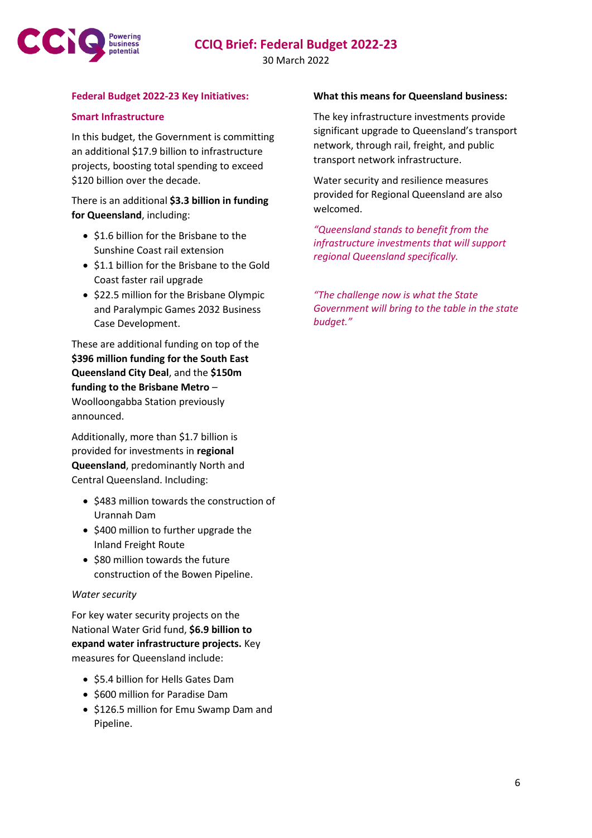

### 30 March 2022

### **Federal Budget 2022-23 Key Initiatives:**

### **Smart Infrastructure**

In this budget, the Government is committing an additional \$17.9 billion to infrastructure projects, boosting total spending to exceed \$120 billion over the decade.

There is an additional **\$3.3 billion in funding for Queensland**, including:

- \$1.6 billion for the Brisbane to the Sunshine Coast rail extension
- \$1.1 billion for the Brisbane to the Gold Coast faster rail upgrade
- \$22.5 million for the Brisbane Olympic and Paralympic Games 2032 Business Case Development.

These are additional funding on top of the **\$396 million funding for the South East Queensland City Deal**, and the **\$150m funding to the Brisbane Metro** – Woolloongabba Station previously announced.

Additionally, more than \$1.7 billion is provided for investments in **regional Queensland**, predominantly North and Central Queensland. Including:

- \$483 million towards the construction of Urannah Dam
- \$400 million to further upgrade the Inland Freight Route
- \$80 million towards the future construction of the Bowen Pipeline.

### *Water security*

For key water security projects on the National Water Grid fund, **\$6.9 billion to expand water infrastructure projects.** Key measures for Queensland include:

- \$5.4 billion for Hells Gates Dam
- \$600 million for Paradise Dam
- \$126.5 million for Emu Swamp Dam and Pipeline.

### **What this means for Queensland business:**

The key infrastructure investments provide significant upgrade to Queensland's transport network, through rail, freight, and public transport network infrastructure.

Water security and resilience measures provided for Regional Queensland are also welcomed.

*"Queensland stands to benefit from the infrastructure investments that will support regional Queensland specifically.*

*"The challenge now is what the State Government will bring to the table in the state budget."*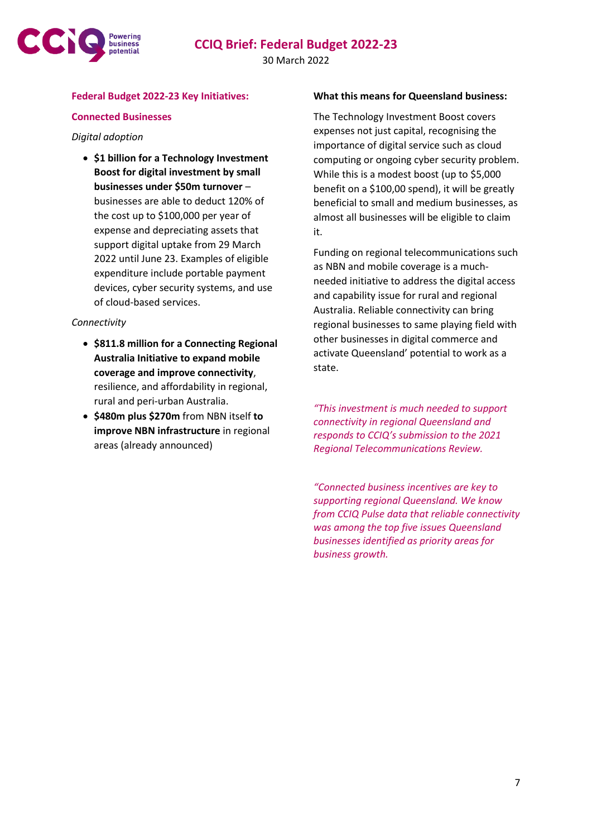

30 March 2022

### **Federal Budget 2022-23 Key Initiatives:**

### **Connected Businesses**

#### *Digital adoption*

• **\$1 billion for a Technology Investment Boost for digital investment by small businesses under \$50m turnover** – businesses are able to deduct 120% of the cost up to \$100,000 per year of expense and depreciating assets that support digital uptake from 29 March 2022 until June 23. Examples of eligible expenditure include portable payment devices, cyber security systems, and use of cloud-based services.

### *Connectivity*

- **\$811.8 million for a Connecting Regional Australia Initiative to expand mobile coverage and improve connectivity**, resilience, and affordability in regional, rural and peri-urban Australia.
- **\$480m plus \$270m** from NBN itself **to improve NBN infrastructure** in regional areas (already announced)

#### **What this means for Queensland business:**

The Technology Investment Boost covers expenses not just capital, recognising the importance of digital service such as cloud computing or ongoing cyber security problem. While this is a modest boost (up to \$5,000 benefit on a \$100,00 spend), it will be greatly beneficial to small and medium businesses, as almost all businesses will be eligible to claim it.

Funding on regional telecommunications such as NBN and mobile coverage is a muchneeded initiative to address the digital access and capability issue for rural and regional Australia. Reliable connectivity can bring regional businesses to same playing field with other businesses in digital commerce and activate Queensland' potential to work as a state.

*"This investment is much needed to support connectivity in regional Queensland and responds to CCIQ's submission to the 2021 Regional Telecommunications Review.*

*"Connected business incentives are key to supporting regional Queensland. We know from CCIQ Pulse data that reliable connectivity was among the top five issues Queensland businesses identified as priority areas for business growth.*